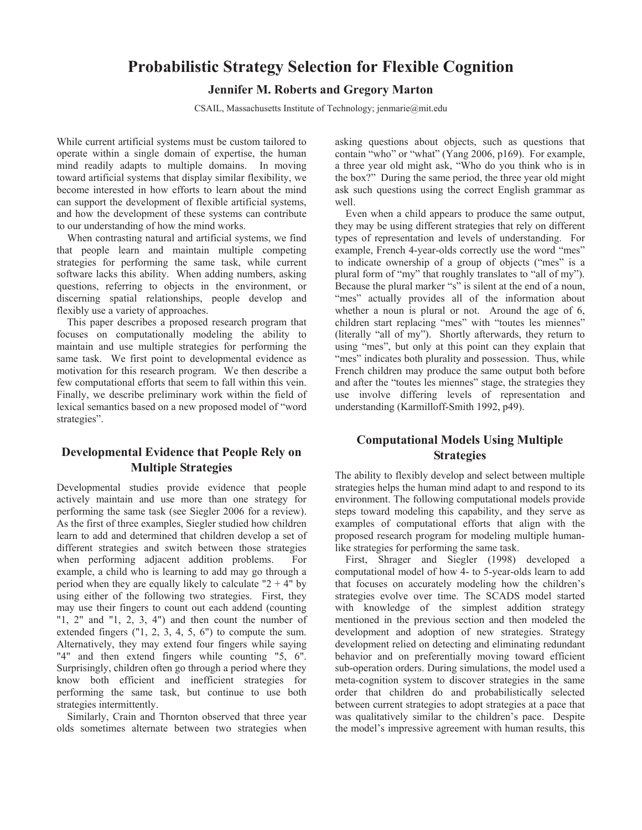# **Probabilistic Strategy Selection for Flexible Cognition**

### **Jennifer M. Roberts and Gregory Marton**

CSAIL, Massachusetts Institute of Technology; jenmarie@mit.edu

While current artificial systems must be custom tailored to operate within a single domain of expertise, the human mind readily adapts to multiple domains. In moving toward artificial systems that display similar flexibility, we become interested in how efforts to learn about the mind can support the development of flexible artificial systems, and how the development of these systems can contribute to our understanding of how the mind works.

 When contrasting natural and artificial systems, we find that people learn and maintain multiple competing strategies for performing the same task, while current software lacks this ability. When adding numbers, asking questions, referring to objects in the environment, or discerning spatial relationships, people develop and flexibly use a variety of approaches.

 This paper describes a proposed research program that focuses on computationally modeling the ability to maintain and use multiple strategies for performing the same task. We first point to developmental evidence as motivation for this research program. We then describe a few computational efforts that seem to fall within this vein. Finally, we describe preliminary work within the field of lexical semantics based on a new proposed model of "word strategies".

## **Developmental Evidence that People Rely on Multiple Strategies**

Developmental studies provide evidence that people actively maintain and use more than one strategy for performing the same task (see Siegler 2006 for a review). As the first of three examples, Siegler studied how children learn to add and determined that children develop a set of different strategies and switch between those strategies when performing adjacent addition problems. For example, a child who is learning to add may go through a period when they are equally likely to calculate " $2 + 4$ " by using either of the following two strategies. First, they may use their fingers to count out each addend (counting " $1, 2$ " and " $1, 2, 3, 4$ " and then count the number of extended fingers ("1, 2, 3, 4, 5, 6") to compute the sum. Alternatively, they may extend four fingers while saying "4" and then extend fingers while counting "5, 6". Surprisingly, children often go through a period where they know both efficient and inefficient strategies for performing the same task, but continue to use both strategies intermittently.

 Similarly, Crain and Thornton observed that three year olds sometimes alternate between two strategies when

asking questions about objects, such as questions that contain "who" or "what" (Yang 2006, p169). For example, a three year old might ask, "Who do you think who is in the box?" During the same period, the three year old might ask such questions using the correct English grammar as well.

 Even when a child appears to produce the same output, they may be using different strategies that rely on different types of representation and levels of understanding. For example, French 4-year-olds correctly use the word "mes" to indicate ownership of a group of objects ("mes" is a plural form of "my" that roughly translates to "all of my"). Because the plural marker "s" is silent at the end of a noun, "mes" actually provides all of the information about whether a noun is plural or not. Around the age of 6, children start replacing "mes" with "toutes les miennes" (literally "all of my"). Shortly afterwards, they return to using "mes", but only at this point can they explain that "mes" indicates both plurality and possession. Thus, while French children may produce the same output both before and after the "toutes les miennes" stage, the strategies they use involve differing levels of representation and understanding (Karmilloff-Smith 1992, p49).

## **Computational Models Using Multiple Strategies**

The ability to flexibly develop and select between multiple strategies helps the human mind adapt to and respond to its environment. The following computational models provide steps toward modeling this capability, and they serve as examples of computational efforts that align with the proposed research program for modeling multiple humanlike strategies for performing the same task.

 First, Shrager and Siegler (1998) developed a computational model of how 4- to 5-year-olds learn to add that focuses on accurately modeling how the children's strategies evolve over time. The SCADS model started with knowledge of the simplest addition strategy mentioned in the previous section and then modeled the development and adoption of new strategies. Strategy development relied on detecting and eliminating redundant behavior and on preferentially moving toward efficient sub-operation orders. During simulations, the model used a meta-cognition system to discover strategies in the same order that children do and probabilistically selected between current strategies to adopt strategies at a pace that was qualitatively similar to the children's pace. Despite the model's impressive agreement with human results, this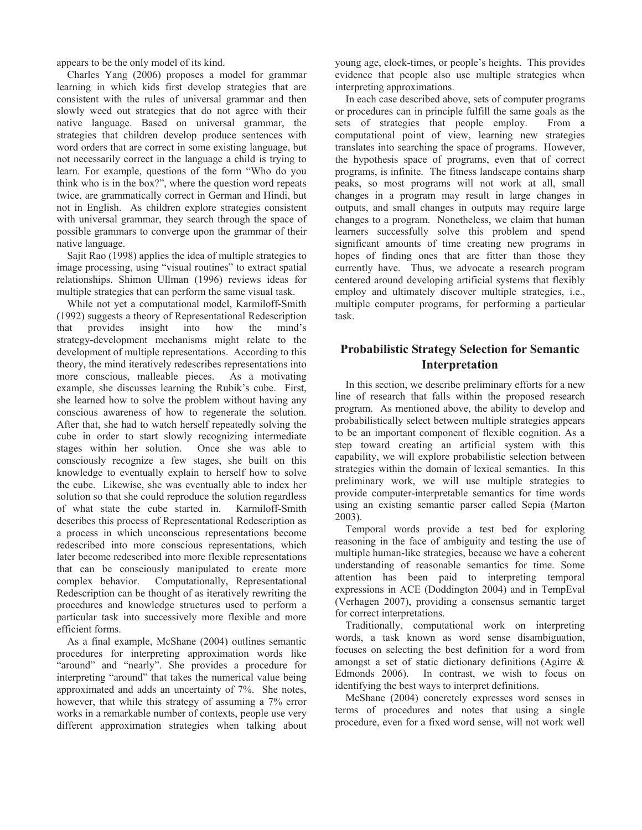appears to be the only model of its kind.

 Charles Yang (2006) proposes a model for grammar learning in which kids first develop strategies that are consistent with the rules of universal grammar and then slowly weed out strategies that do not agree with their native language. Based on universal grammar, the strategies that children develop produce sentences with word orders that are correct in some existing language, but not necessarily correct in the language a child is trying to learn. For example, questions of the form "Who do you think who is in the box?", where the question word repeats twice, are grammatically correct in German and Hindi, but not in English. As children explore strategies consistent with universal grammar, they search through the space of possible grammars to converge upon the grammar of their native language.

 Sajit Rao (1998) applies the idea of multiple strategies to image processing, using "visual routines" to extract spatial relationships. Shimon Ullman (1996) reviews ideas for multiple strategies that can perform the same visual task.

 While not yet a computational model, Karmiloff-Smith (1992) suggests a theory of Representational Redescription that provides insight into how the mind's strategy-development mechanisms might relate to the development of multiple representations. According to this theory, the mind iteratively redescribes representations into more conscious, malleable pieces. As a motivating example, she discusses learning the Rubik's cube. First, she learned how to solve the problem without having any conscious awareness of how to regenerate the solution. After that, she had to watch herself repeatedly solving the cube in order to start slowly recognizing intermediate stages within her solution. Once she was able to consciously recognize a few stages, she built on this knowledge to eventually explain to herself how to solve the cube. Likewise, she was eventually able to index her solution so that she could reproduce the solution regardless of what state the cube started in. Karmiloff-Smith describes this process of Representational Redescription as a process in which unconscious representations become redescribed into more conscious representations, which later become redescribed into more flexible representations that can be consciously manipulated to create more complex behavior. Computationally, Representational Redescription can be thought of as iteratively rewriting the procedures and knowledge structures used to perform a particular task into successively more flexible and more efficient forms.

 As a final example, McShane (2004) outlines semantic procedures for interpreting approximation words like "around" and "nearly". She provides a procedure for interpreting "around" that takes the numerical value being approximated and adds an uncertainty of 7%. She notes, however, that while this strategy of assuming a 7% error works in a remarkable number of contexts, people use very different approximation strategies when talking about young age, clock-times, or people's heights. This provides evidence that people also use multiple strategies when interpreting approximations.

 In each case described above, sets of computer programs or procedures can in principle fulfill the same goals as the sets of strategies that people employ. From a computational point of view, learning new strategies translates into searching the space of programs. However, the hypothesis space of programs, even that of correct programs, is infinite. The fitness landscape contains sharp peaks, so most programs will not work at all, small changes in a program may result in large changes in outputs, and small changes in outputs may require large changes to a program. Nonetheless, we claim that human learners successfully solve this problem and spend significant amounts of time creating new programs in hopes of finding ones that are fitter than those they currently have. Thus, we advocate a research program centered around developing artificial systems that flexibly employ and ultimately discover multiple strategies, i.e., multiple computer programs, for performing a particular task.

# **Probabilistic Strategy Selection for Semantic Interpretation**

 In this section, we describe preliminary efforts for a new line of research that falls within the proposed research program. As mentioned above, the ability to develop and probabilistically select between multiple strategies appears to be an important component of flexible cognition. As a step toward creating an artificial system with this capability, we will explore probabilistic selection between strategies within the domain of lexical semantics. In this preliminary work, we will use multiple strategies to provide computer-interpretable semantics for time words using an existing semantic parser called Sepia (Marton 2003).

 Temporal words provide a test bed for exploring reasoning in the face of ambiguity and testing the use of multiple human-like strategies, because we have a coherent understanding of reasonable semantics for time. Some attention has been paid to interpreting temporal expressions in ACE (Doddington 2004) and in TempEval (Verhagen 2007), providing a consensus semantic target for correct interpretations.

 Traditionally, computational work on interpreting words, a task known as word sense disambiguation, focuses on selecting the best definition for a word from amongst a set of static dictionary definitions (Agirre & Edmonds 2006). In contrast, we wish to focus on identifying the best ways to interpret definitions.

 McShane (2004) concretely expresses word senses in terms of procedures and notes that using a single procedure, even for a fixed word sense, will not work well